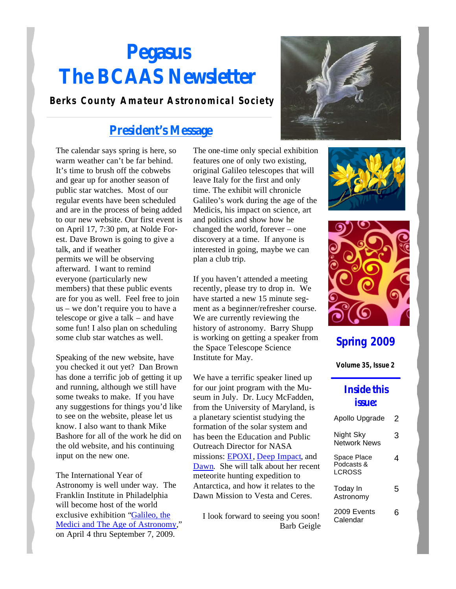# **Pegasus The BCAAS Newsletter**

#### **Berks County Amateur Astronomical Society**

### **President's Message**

The calendar says spring is here, so warm weather can't be far behind. It's time to brush off the cobwebs and gear up for another season of public star watches. Most of our regular events have been scheduled and are in the process of being added to our new website. Our first event is on April 17, 7:30 pm, at Nolde Forest. Dave Brown is going to give a talk, and if weather permits we will be observing afterward. I want to remind everyone (particularly new members) that these public events are for you as well. Feel free to join us – we don't require you to have a telescope or give a talk – and have some fun! I also plan on scheduling some club star watches as well.

Speaking of the new website, have you checked it out yet? Dan Brown has done a terrific job of getting it up and running, although we still have some tweaks to make. If you have any suggestions for things you'd like to see on the website, please let us know. I also want to thank Mike Bashore for all of the work he did on the old website, and his continuing input on the new one.

The International Year of Astronomy is well under way. The Franklin Institute in Philadelphia will become host of the world exclusive exhibition "Galileo, the Medici and The Age of Astronomy," on April 4 thru September 7, 2009.

The one-time only special exhibition features one of only two existing, original Galileo telescopes that will leave Italy for the first and only time. The exhibit will chronicle Galileo's work during the age of the Medicis, his impact on science, art and politics and show how he changed the world, forever – one discovery at a time. If anyone is interested in going, maybe we can plan a club trip.

If you haven't attended a meeting recently, please try to drop in. We have started a new 15 minute segment as a beginner/refresher course. We are currently reviewing the history of astronomy. Barry Shupp is working on getting a speaker from the Space Telescope Science Institute for May.

We have a terrific speaker lined up for our joint program with the Museum in July. Dr. Lucy McFadden, from the University of Maryland, is a planetary scientist studying the formation of the solar system and has been the Education and Public Outreach Director for NASA missions: EPOXI, Deep Impact, and Dawn. She will talk about her recent meteorite hunting expedition to Antarctica, and how it relates to the Dawn Mission to Vesta and Ceres.

I look forward to seeing you soon! Barb Geigle







### **Spring 2009**

**Volume 35, Issue 2**

#### **Inside this issue:**

| Apollo Upgrade                      | 2 |
|-------------------------------------|---|
| Night Sky<br>Network News           | 3 |
| Space Place<br>Podcasts &<br>LCROSS | 4 |
| Today In<br>Astronomy               | 5 |
| 2009 Events<br>Calendar             | h |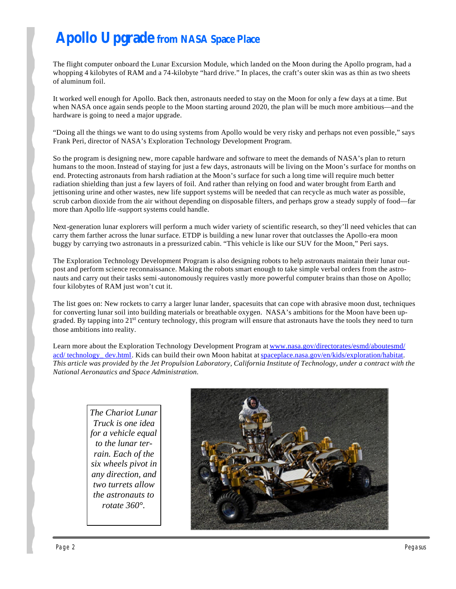# **Apollo Upgrade from NASA Space Place**

The flight computer onboard the Lunar Excursion Module, which landed on the Moon during the Apollo program, had a whopping 4 kilobytes of RAM and a 74-kilobyte "hard drive." In places, the craft's outer skin was as thin as two sheets of aluminum foil.

It worked well enough for Apollo. Back then, astronauts needed to stay on the Moon for only a few days at a time. But when NASA once again sends people to the Moon starting around 2020, the plan will be much more ambitious—and the hardware is going to need a major upgrade.

"Doing all the things we want to do using systems from Apollo would be very risky and perhaps not even possible," says Frank Peri, director of NASA's Exploration Technology Development Program.

So the program is designing new, more capable hardware and software to meet the demands of NASA's plan to return humans to the moon. Instead of staying for just a few days, astronauts will be living on the Moon's surface for months on end. Protecting astronauts from harsh radiation at the Moon's surface for such a long time will require much better radiation shielding than just a few layers of foil. And rather than relying on food and water brought from Earth and jettisoning urine and other wastes, new life support systems will be needed that can recycle as much water as possible, scrub carbon dioxide from the air without depending on disposable filters, and perhaps grow a steady supply of food—far more than Apollo life -support systems could handle.

Next-generation lunar explorers will perform a much wider variety of scientific research, so they'll need vehicles that can carry them farther across the lunar surface. ETDP is building a new lunar rover that outclasses the Apollo-era moon buggy by carrying two astronauts in a pressurized cabin. "This vehicle is like our SUV for the Moon," Peri says.

The Exploration Technology Development Program is also designing robots to help astronauts maintain their lunar outpost and perform science reconnaissance. Making the robots smart enough to take simple verbal orders from the astronauts and carry out their tasks semi-autonomously requires vastly more powerful computer brains than those on Apollo; four kilobytes of RAM just won't cut it.

The list goes on: New rockets to carry a larger lunar lander, spacesuits that can cope with abrasive moon dust, techniques for converting lunar soil into building materials or breathable oxygen. NASA's ambitions for the Moon have been upgraded. By tapping into 21<sup>st</sup> century technology, this program will ensure that astronauts have the tools they need to turn those ambitions into reality.

Learn more about the Exploration Technology Development Program at www.nasa.gov/directorates/esmd/aboutesmd/ acd/ technology\_dev.html. Kids can build their own Moon habitat at spaceplace.nasa.gov/en/kids/exploration/habitat. *This article was provided by the Jet Propulsion Laboratory, California Institute of Technology, under a contract with the National Aeronautics and Space Administration.*

> *The Chariot Lunar Truck is one idea for a vehicle equal to the lunar terrain. Each of the six wheels pivot in any direction, and two turrets allow the astronauts to rotate 360°.*

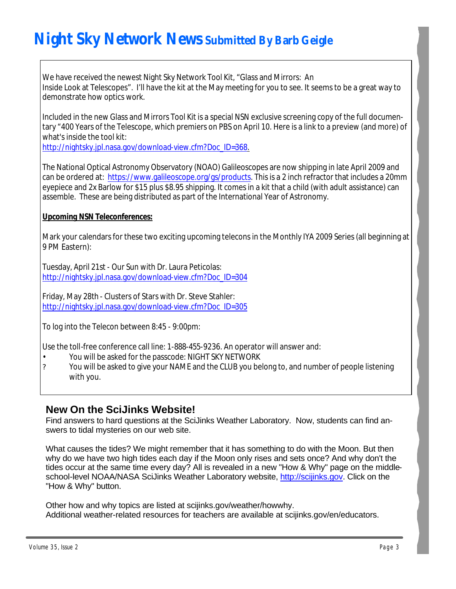# **Night Sky Network News Submitted By Barb Geigle**

We have received the newest Night Sky Network Tool Kit, "Glass and Mirrors: An Inside Look at Telescopes". I'll have the kit at the May meeting for you to see. It seems to be a great way to demonstrate how optics work.

Included in the new Glass and Mirrors Tool Kit is a special NSN exclusive screening copy of the full documentary "400 Years of the Telescope, which premiers on PBS on April 10. Here is a link to a preview (and more) of what's inside the tool kit:

http://nightsky.jpl.nasa.gov/download-view.cfm?Doc\_ID=368.

The National Optical Astronomy Observatory (NOAO) Galileoscopes are now shipping in late April 2009 and can be ordered at: https://www.galileoscope.org/gs/products. This is a 2 inch refractor that includes a 20mm eyepiece and 2x Barlow for \$15 plus \$8.95 shipping. It comes in a kit that a child (with adult assistance) can assemble. These are being distributed as part of the International Year of Astronomy.

#### *Upcoming NSN Teleconferences:*

Mark your calendars for these two exciting upcoming telecons in the Monthly IYA 2009 Series (all beginning at 9 PM Eastern):

Tuesday, April 21st - Our Sun with Dr. Laura Peticolas: http://nightsky.jpl.nasa.gov/download-view.cfm?Doc\_ID=304

Friday, May 28th - Clusters of Stars with Dr. Steve Stahler: http://nightsky.jpl.nasa.gov/download-view.cfm?Doc\_ID=305

To log into the Telecon between 8:45 - 9:00pm:

Use the toll-free conference call line: 1-888-455-9236. An operator will answer and:

- You will be asked for the passcode: NIGHT SKY NETWORK
- ? You will be asked to give your NAME and the CLUB you belong to, and number of people listening with you.

### **New On the SciJinks Website!**

Find answers to hard questions at the SciJinks Weather Laboratory. Now, students can find answers to tidal mysteries on our web site.

What causes the tides? We might remember that it has something to do with the Moon. But then why do we have two high tides each day if the Moon only rises and sets once? And why don't the tides occur at the same time every day? All is revealed in a new "How & Why" page on the middleschool-level NOAA/NASA SciJinks Weather Laboratory website, http://scijinks.gov. Click on the "How & Why" button.

Other how and why topics are listed at scijinks.gov/weather/howwhy. Additional weather-related resources for teachers are available at scijinks.gov/en/educators.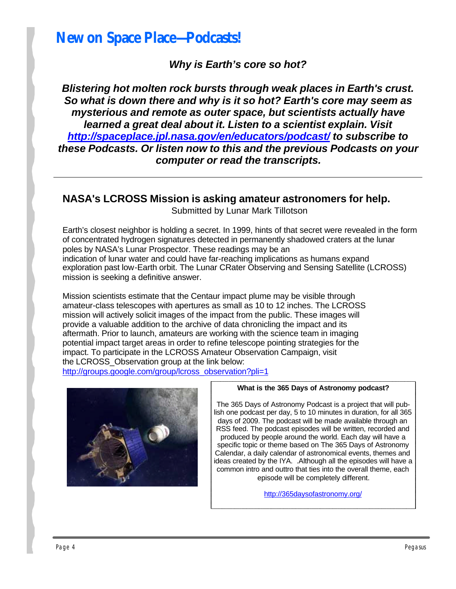## **New on Space Place—Podcasts!**

*Why is Earth's core so hot?*

*Blistering hot molten rock bursts through weak places in Earth's crust. So what is down there and why is it so hot? Earth's core may seem as mysterious and remote as outer space, but scientists actually have learned a great deal about it. Listen to a scientist explain. Visit http://spaceplace.jpl.nasa.gov/en/educators/podcast/ to subscribe to these Podcasts. Or listen now to this and the previous Podcasts on your computer or read the transcripts.*

#### **NASA's LCROSS Mission is asking amateur astronomers for help.**

Submitted by Lunar Mark Tillotson

Earth's closest neighbor is holding a secret. In 1999, hints of that secret were revealed in the form of concentrated hydrogen signatures detected in permanently shadowed craters at the lunar poles by NASA's Lunar Prospector. These readings may be an indication of lunar water and could have far-reaching implications as humans expand exploration past low-Earth orbit. The Lunar CRater Observing and Sensing Satellite (LCROSS) mission is seeking a definitive answer.

Mission scientists estimate that the Centaur impact plume may be visible through amateur-class telescopes with apertures as small as 10 to 12 inches. The LCROSS mission will actively solicit images of the impact from the public. These images will provide a valuable addition to the archive of data chronicling the impact and its aftermath. Prior to launch, amateurs are working with the science team in imaging potential impact target areas in order to refine telescope pointing strategies for the impact. To participate in the LCROSS Amateur Observation Campaign, visit the LCROSS\_Observation group at the link below:

http://groups.google.com/group/lcross\_observation?pli=1



#### **What is the 365 Days of Astronomy podcast?**

The 365 Days of Astronomy Podcast is a project that will publish one podcast per day, 5 to 10 minutes in duration, for all 365 days of 2009. The podcast will be made available through an RSS feed. The podcast episodes will be written, recorded and produced by people around the world. Each day will have a specific topic or theme based on The 365 Days of Astronomy Calendar, a daily calendar of astronomical events, themes and ideas created by the IYA. .Although all the episodes will have a common intro and outtro that ties into the overall theme, each episode will be completely different.

http://365daysofastronomy.org/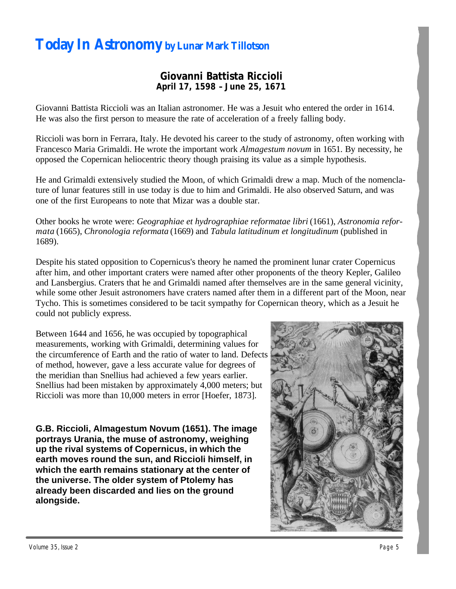## **Today In Astronomy by Lunar Mark Tillotson**

#### **Giovanni Battista Riccioli April 17, 1598 – June 25, 1671**

Giovanni Battista Riccioli was an Italian astronomer. He was a Jesuit who entered the order in 1614. He was also the first person to measure the rate of acceleration of a freely falling body.

Riccioli was born in Ferrara, Italy. He devoted his career to the study of astronomy, often working with Francesco Maria Grimaldi. He wrote the important work *Almagestum novum* in 1651. By necessity, he opposed the Copernican heliocentric theory though praising its value as a simple hypothesis.

He and Grimaldi extensively studied the Moon, of which Grimaldi drew a map. Much of the nomenclature of lunar features still in use today is due to him and Grimaldi. He also observed Saturn, and was one of the first Europeans to note that Mizar was a double star.

Other books he wrote were: *Geographiae et hydrographiae reformatae libri* (1661), *Astronomia reformata* (1665), *Chronologia reformata* (1669) and *Tabula latitudinum et longitudinum* (published in 1689).

Despite his stated opposition to Copernicus's theory he named the prominent lunar crater Copernicus after him, and other important craters were named after other proponents of the theory Kepler, Galileo and Lansbergius. Craters that he and Grimaldi named after themselves are in the same general vicinity, while some other Jesuit astronomers have craters named after them in a different part of the Moon, near Tycho. This is sometimes considered to be tacit sympathy for Copernican theory, which as a Jesuit he could not publicly express.

Between 1644 and 1656, he was occupied by topographical measurements, working with Grimaldi, determining values for the circumference of Earth and the ratio of water to land. Defects of method, however, gave a less accurate value for degrees of the meridian than Snellius had achieved a few years earlier. Snellius had been mistaken by approximately 4,000 meters; but Riccioli was more than 10,000 meters in error [Hoefer, 1873].

**G.B. Riccioli, Almagestum Novum (1651). The image portrays Urania, the muse of astronomy, weighing up the rival systems of Copernicus, in which the earth moves round the sun, and Riccioli himself, in which the earth remains stationary at the center of the universe. The older system of Ptolemy has already been discarded and lies on the ground alongside.**